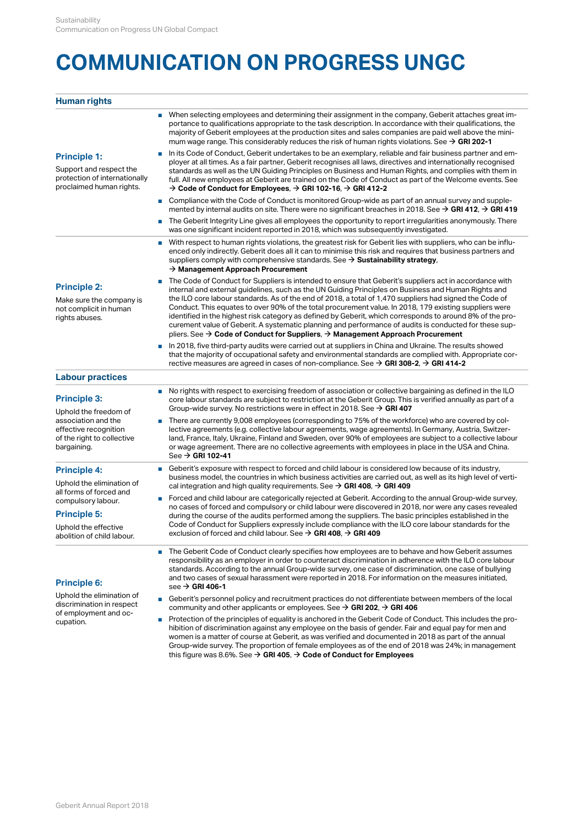# **COMMUNICATION ON PROGRESS UNGC**

#### **Human rights**

| When selecting employees and determining their assignment in the company, Geberit attaches great im-<br>portance to qualifications appropriate to the task description. In accordance with their qualifications, the  |
|-----------------------------------------------------------------------------------------------------------------------------------------------------------------------------------------------------------------------|
| majority of Geberit employees at the production sites and sales companies are paid well above the mini-<br>mum wage range. This considerably reduces the risk of human rights violations. See $\rightarrow$ GRI 202-1 |

## **Principle 1:**

proclaimed human rights.

- Support and respect the standards as well as the UN Guiding Principles on Business and Human Rights, and complies with them in protection of internationally full. All new employees at Geberit are trained on the Code of Conduct as part of the Welcome events. See ■ In its Code of Conduct, Geberit undertakes to be an exemplary, reliable and fair business partner and employer at all times. As a fair partner, Geberit recognises all laws, directives and internationally recognised  $\rightarrow$ [Code of Conduct for Employees](http://annualreport.geberit.com/geberit/annual/2018/gb/layout/../English/pdf/geberit_code_of_conduct_en.pdf),  $\rightarrow$  GRI 102-16,  $\rightarrow$  [GRI 412-2](http://annualreport.geberit.com/reports/geberit/annual/2018/gb/English/30608020/8_2-society.html?anchor=GRI412-2#GRI412-2)
	- Compliance with the Code of Conduct is monitored Group-wide as part of an annual survey and supplemented by internal audits on site. There were no significant breaches in 2018. See  $\rightarrow$  GRI 412,  $\rightarrow$  GRI 419
	- mentedby internal audits on site. There were no significant breaches in 2018. See → **GRI 412, → GRI 419**<br>■ The Geberit Integrity Line gives all employees the opportunity to report irregularities anonymously. There was one significant incident reported in 2018, which was subsequently investigated.
	- With respect to human rights violations, the greatest risk for Geberit lies with suppliers, who can be influenced only indirectly. Geberit does all it can to minimise this risk and requires that business partners and suppliers comply with comprehensive standards. See  $\rightarrow$  Sustainability strategy[,](http://annualreport.geberit.com/reports/geberit/annual/2018/gb/English/3040/sustainability-strategy-2019---2021.html?anchor=S2#S2)  $\rightarrow$  [Management Approach Procurement](http://annualreport.geberit.com/reports/geberit/annual/2018/gb/English/30609520/10_2-operations.html?anchor=MANAGEMENTAPPROACH#MANAGEMENTAPPROACH)

## **Principle 2:**

Make sure the company is<br>not complicit in human rights abuses.

not complicit in human Conduct. This equates to over 90% of the total procurement value. In 2018, 179 existing suppliers were ■ The Code of Conduct for Suppliers is intended to ensure that Geberit's suppliers act in accordance with internal and external guidelines, such as the UN Guiding Principles on Business and Human Rights and the ILO core labour standards. As of the end of 2018, a total of 1,470 suppliers had signed the Code of identified in the highest risk category as defined by Geberit, which corresponds to around 8% of the procurement value of Geberit. A systematic planning and performance of audits is conducted for these suppliers. See → Code of Conduct for Suppliers, → Management Approach Procurement

pliers.See → **Code of Conduct for Suppliers**, → **Management Approach Procurement**<br>■ In 2018, five third-party audits were carried out at suppliers in China and Ukraine. The results showed that the majority of occupational safety and environmental standards are complied with. Appropriate corrective measures are agreed in cases of non-compliance. See  $\rightarrow$  **GRI 308-2**,  $\rightarrow$  **[GRI 414-2](http://annualreport.geberit.com/reports/geberit/annual/2018/gb/English/30609520/10_2-operations.html?anchor=GRI308-2#GRI308-2)** 

### **Labour practices**

#### **Principle 3:**

Uphold the freedom of bargaining.

#### **Principle 4:**

Uphold the elimination of all forms of forced and compulsory labour.

#### **Principle 5:**

Uphold the effective abolition of child labour.

# **Principle 6:**

Uphold the elimination of discrimination in respect of employment and occupation.

- association and the There are currently 9,008 employees (corresponding to 75% of the workforce) who are covered by col-■ ■ No rights with respect to exercising freedom of association or collective bargaining as defined in the ILO core labour standards are subject to restriction at the Geberit Group. This is verified annually as part of a Group-wide survey. No restrictions were in effect in 2018. See  $\rightarrow$  [GRI 407](http://annualreport.geberit.com/reports/geberit/annual/2018/gb/English/30608010/8_1-employees.html?anchor=GRI407#GRI407)
- effective recognition lective agreements (e.g. collective labour agreements, wage agreements). In Germany, Austria, Switzerof the right to collective land, France, Italy, Ukraine, Finland and Sweden, over 90% of employees are subject to a collective labour or wage agreement. There are no collective agreements with employees in place in the USA and China.  $\text{See} \rightarrow \text{GRI}$  102-41
	- Geberit's exposure with respect to forced and child labour is considered low because of its industry, business model, the countries in which business activities are carried out, as well as its high level of vertical integration and high quality requirements. See  $\rightarrow$  GRI 408,  $\rightarrow$  GRI 409
	- calintegration and high quality requirements. See → **GRI 408**, → **GRI 409**<br>■ Forced and child labour are categorically rejected at Geberit. According to the annual Group-wide survey, no cases of forced and compulsory or child labour were discovered in 2018, nor were any cases revealed during the course of the audits performed among the suppliers. The basic principles established in the Code of Conduct for Suppliers expressly include compliance with the ILO core labour standards for the exclusion of forced and child labour. See  $\rightarrow$  GRI 408[,](http://annualreport.geberit.com/reports/geberit/annual/2018/gb/English/30608020/8_2-society.html?anchor=GRI408#GRI408)  $\rightarrow$  [GRI 409](http://annualreport.geberit.com/reports/geberit/annual/2018/gb/English/30608020/8_2-society.html?anchor=GRI409#GRI409)
	- The Geberit Code of Conduct clearly specifies how employees are to behave and how Geberit assumes responsibility as an employer in order to counteract discrimination in adherence with the ILO core labour standards. According to the annual Group-wide survey, one case of discrimination, one case of bullying and two cases of sexual harassment were reported in 2018. For information on the measures initiated,  $\sec \theta \to \text{GRI } 406\text{-}1$
	- Geberit's personnel policy and recruitment practices do not differentiate between members of the local community and other applicants or employees. See  $\rightarrow$  GRI 202[,](http://annualreport.geberit.com/reports/geberit/annual/2018/gb/English/30608020/8_2-society.html?anchor=GRI202#GRI202)  $\rightarrow$  [GRI 406](http://annualreport.geberit.com/reports/geberit/annual/2018/gb/English/30608010/8_1-employees.html?anchor=GRI406#GRI406)
	- Protection of the principles of equality is anchored in the Geberit Code of Conduct. This includes the prohibition of discrimination against any employee on the basis of gender. Fair and equal pay for men and women is a matter of course at Geberit, as was verified and documented in 2018 as part of the annual Group-wide survey. The proportion of female employees as of the end of 2018 was 24%; in management this figure was 8.6%. See  $\rightarrow$  **GRI 405**[,](http://annualreport.geberit.com/reports/geberit/annual/2018/gb/English/30608010/8_1-employees.html?anchor=GRI405#GRI405)  $\rightarrow$  **[Code of Conduct for Employees](http://annualreport.geberit.com/geberit/annual/2018/gb/layout/../English/pdf/geberit_code_of_conduct_en.pdf)**